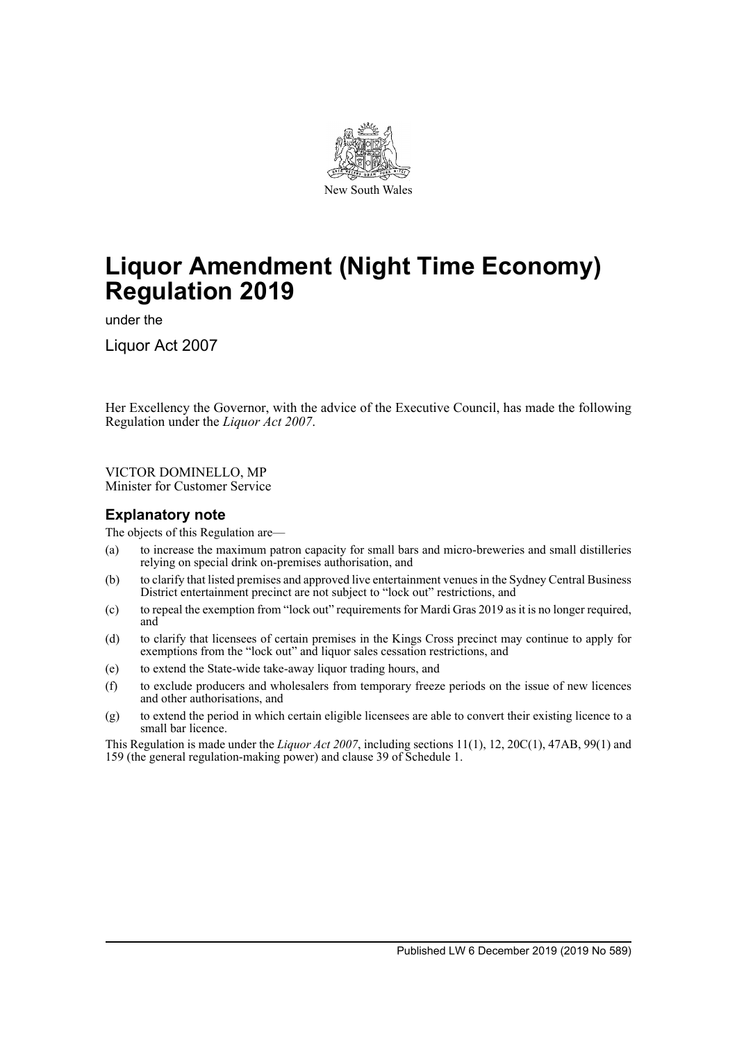

# **Liquor Amendment (Night Time Economy) Regulation 2019**

under the

Liquor Act 2007

Her Excellency the Governor, with the advice of the Executive Council, has made the following Regulation under the *Liquor Act 2007*.

VICTOR DOMINELLO, MP Minister for Customer Service

# **Explanatory note**

The objects of this Regulation are—

- (a) to increase the maximum patron capacity for small bars and micro-breweries and small distilleries relying on special drink on-premises authorisation, and
- (b) to clarify that listed premises and approved live entertainment venues in the Sydney Central Business District entertainment precinct are not subject to "lock out" restrictions, and
- (c) to repeal the exemption from "lock out" requirements for Mardi Gras 2019 as it is no longer required, and
- (d) to clarify that licensees of certain premises in the Kings Cross precinct may continue to apply for exemptions from the "lock out" and liquor sales cessation restrictions, and
- (e) to extend the State-wide take-away liquor trading hours, and
- (f) to exclude producers and wholesalers from temporary freeze periods on the issue of new licences and other authorisations, and
- (g) to extend the period in which certain eligible licensees are able to convert their existing licence to a small bar licence.

This Regulation is made under the *Liquor Act 2007*, including sections 11(1), 12, 20C(1), 47AB, 99(1) and 159 (the general regulation-making power) and clause 39 of Schedule 1.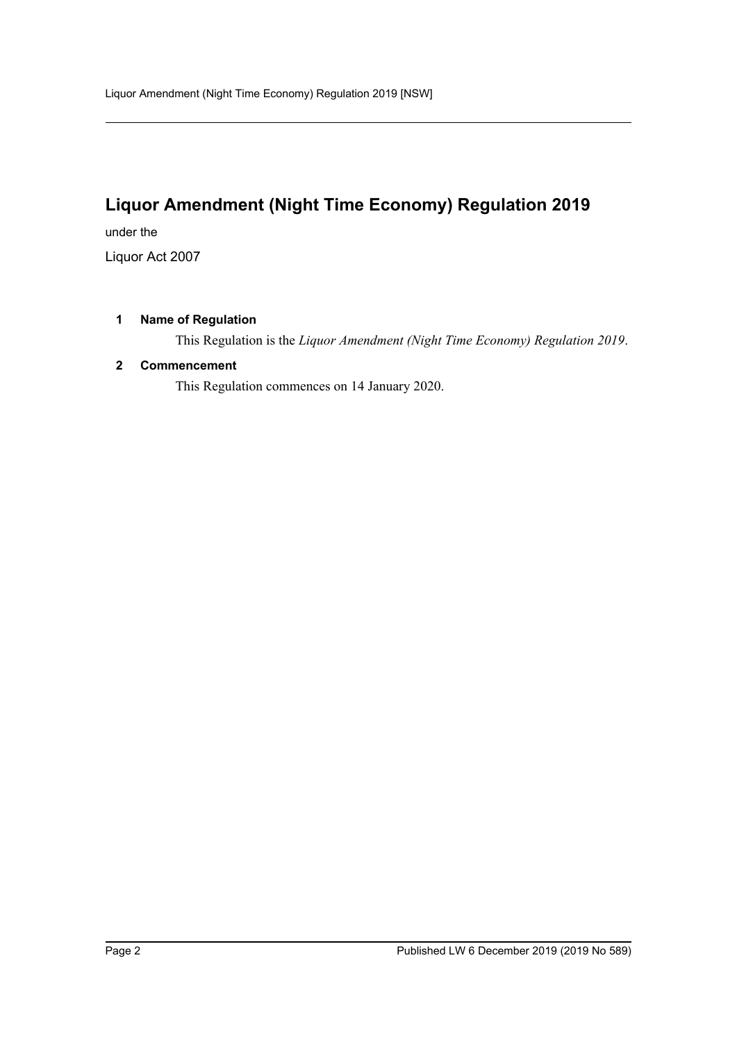# **Liquor Amendment (Night Time Economy) Regulation 2019**

under the

Liquor Act 2007

# **1 Name of Regulation**

This Regulation is the *Liquor Amendment (Night Time Economy) Regulation 2019*.

# **2 Commencement**

This Regulation commences on 14 January 2020.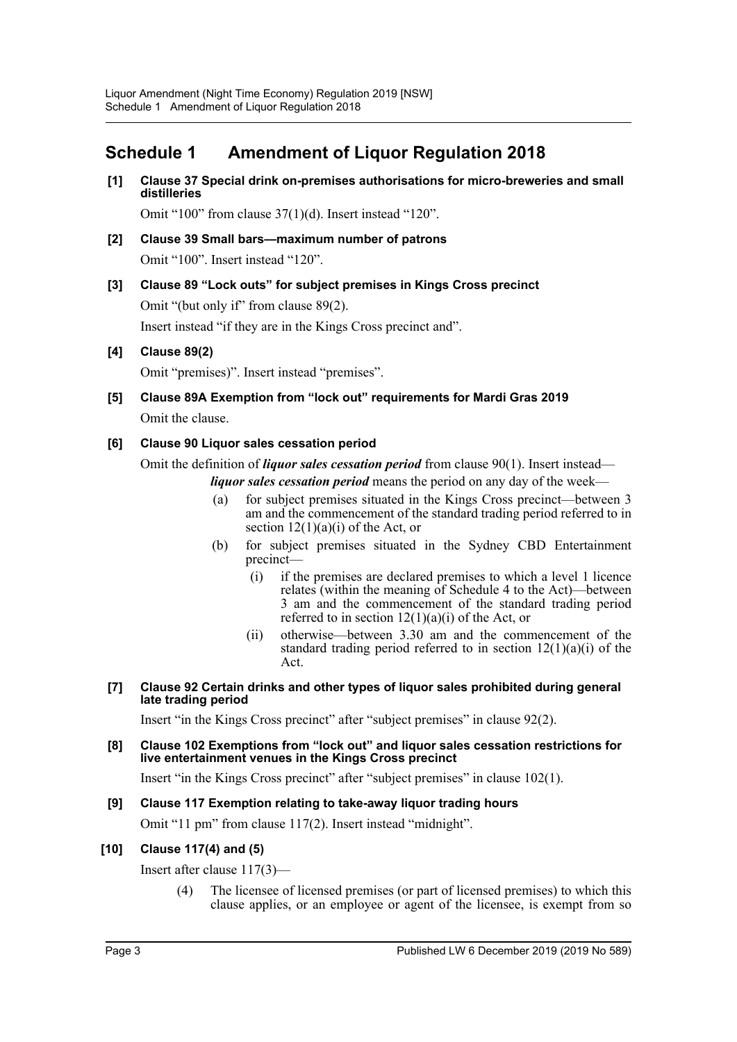# **Schedule 1 Amendment of Liquor Regulation 2018**

**[1] Clause 37 Special drink on-premises authorisations for micro-breweries and small distilleries**

Omit "100" from clause 37(1)(d). Insert instead "120".

- **[2] Clause 39 Small bars—maximum number of patrons** Omit "100". Insert instead "120".
- **[3] Clause 89 "Lock outs" for subject premises in Kings Cross precinct** Omit "(but only if" from clause 89(2). Insert instead "if they are in the Kings Cross precinct and".

# **[4] Clause 89(2)**

Omit "premises)". Insert instead "premises".

**[5] Clause 89A Exemption from "lock out" requirements for Mardi Gras 2019** Omit the clause.

#### **[6] Clause 90 Liquor sales cessation period**

Omit the definition of *liquor sales cessation period* from clause 90(1). Insert instead *liquor sales cessation period* means the period on any day of the week—

- (a) for subject premises situated in the Kings Cross precinct—between 3 am and the commencement of the standard trading period referred to in section  $12(1)(a)(i)$  of the Act, or
- (b) for subject premises situated in the Sydney CBD Entertainment precinct—
	- (i) if the premises are declared premises to which a level 1 licence relates (within the meaning of Schedule 4 to the Act)—between 3 am and the commencement of the standard trading period referred to in section  $12(1)(a)(i)$  of the Act, or
	- (ii) otherwise—between 3.30 am and the commencement of the standard trading period referred to in section  $12(1)(a)(i)$  of the Act.
- **[7] Clause 92 Certain drinks and other types of liquor sales prohibited during general late trading period**

Insert "in the Kings Cross precinct" after "subject premises" in clause 92(2).

**[8] Clause 102 Exemptions from "lock out" and liquor sales cessation restrictions for live entertainment venues in the Kings Cross precinct**

Insert "in the Kings Cross precinct" after "subject premises" in clause 102(1).

# **[9] Clause 117 Exemption relating to take-away liquor trading hours**

Omit "11 pm" from clause 117(2). Insert instead "midnight".

#### **[10] Clause 117(4) and (5)**

Insert after clause 117(3)—

(4) The licensee of licensed premises (or part of licensed premises) to which this clause applies, or an employee or agent of the licensee, is exempt from so